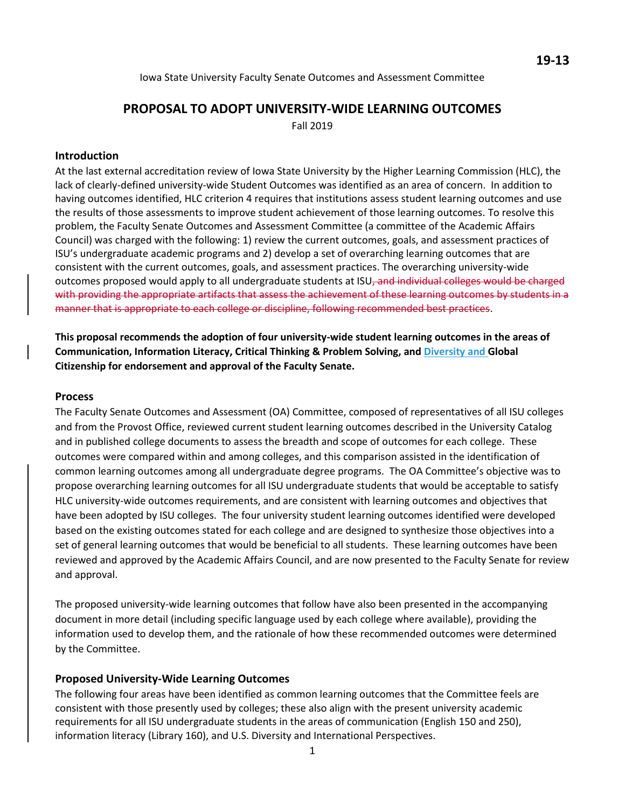Iowa State University Faculty Senate Outcomes and Assessment Committee

# **PROPOSAL TO ADOPT UNIVERSITY-WIDE LEARNING OUTCOMES**

Fall 2019

#### **Introduction**

At the last external accreditation review of Iowa State University by the Higher Learning Commission (HLC), the lack of clearly-defined university-wide Student Outcomes was identified as an area of concern. In addition to having outcomes identified, HLC criterion 4 requires that institutions assess student learning outcomes and use the results of those assessments to improve student achievement of those learning outcomes. To resolve this problem, the Faculty Senate Outcomes and Assessment Committee (a committee of the Academic Affairs Council) was charged with the following: 1) review the current outcomes, goals, and assessment practices of ISU's undergraduate academic programs and 2) develop a set of overarching learning outcomes that are consistent with the current outcomes, goals, and assessment practices. The overarching university-wide outcomes proposed would apply to all undergraduate students at ISU<sub>7</sub> and individual colleges would be charged with providing the appropriate artifacts that assess the achievement of these learning outcomes by students in a manner that is appropriate to each college or discipline, following recommended best practices.

**This proposal recommends the adoption of four university-wide student learning outcomes in the areas of Communication, Information Literacy, Critical Thinking & Problem Solving, and Diversity and Global Citizenship for endorsement and approval of the Faculty Senate.** 

#### **Process**

The Faculty Senate Outcomes and Assessment (OA) Committee, composed of representatives of all ISU colleges and from the Provost Office, reviewed current student learning outcomes described in the University Catalog and in published college documents to assess the breadth and scope of outcomes for each college. These outcomes were compared within and among colleges, and this comparison assisted in the identification of common learning outcomes among all undergraduate degree programs. The OA Committee's objective was to propose overarching learning outcomes for all ISU undergraduate students that would be acceptable to satisfy HLC university-wide outcomes requirements, and are consistent with learning outcomes and objectives that have been adopted by ISU colleges. The four university student learning outcomes identified were developed based on the existing outcomes stated for each college and are designed to synthesize those objectives into a set of general learning outcomes that would be beneficial to all students. These learning outcomes have been reviewed and approved by the Academic Affairs Council, and are now presented to the Faculty Senate for review and approval.

The proposed university-wide learning outcomes that follow have also been presented in the accompanying document in more detail (including specific language used by each college where available), providing the information used to develop them, and the rationale of how these recommended outcomes were determined by the Committee.

#### **Proposed University-Wide Learning Outcomes**

The following four areas have been identified as common learning outcomes that the Committee feels are consistent with those presently used by colleges; these also align with the present university academic requirements for all ISU undergraduate students in the areas of communication (English 150 and 250), information literacy (Library 160), and U.S. Diversity and International Perspectives.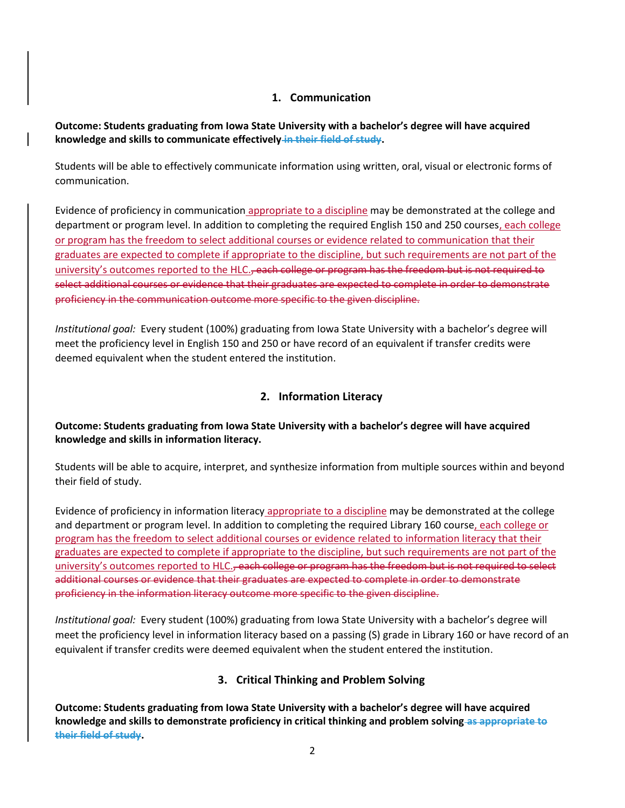## **1. Communication**

**Outcome: Students graduating from Iowa State University with a bachelor's degree will have acquired knowledge and skills to communicate effectively in their field of study.** 

Students will be able to effectively communicate information using written, oral, visual or electronic forms of communication.

Evidence of proficiency in communication appropriate to a discipline may be demonstrated at the college and department or program level. In addition to completing the required English 150 and 250 courses, each college or program has the freedom to select additional courses or evidence related to communication that their graduates are expected to complete if appropriate to the discipline, but such requirements are not part of the university's outcomes reported to the HLC., each college or program has the freedom but is not required to select additional courses or evidence that their graduates are expected to complete in order to demonstrate proficiency in the communication outcome more specific to the given discipline.

*Institutional goal:* Every student (100%) graduating from Iowa State University with a bachelor's degree will meet the proficiency level in English 150 and 250 or have record of an equivalent if transfer credits were deemed equivalent when the student entered the institution.

## **2. Information Literacy**

## **Outcome: Students graduating from Iowa State University with a bachelor's degree will have acquired knowledge and skills in information literacy.**

Students will be able to acquire, interpret, and synthesize information from multiple sources within and beyond their field of study.

Evidence of proficiency in information literacy appropriate to a discipline may be demonstrated at the college and department or program level. In addition to completing the required Library 160 course, each college or program has the freedom to select additional courses or evidence related to information literacy that their graduates are expected to complete if appropriate to the discipline, but such requirements are not part of the university's outcomes reported to HLC.<del>, each college or program has the freedom but is not required to select</del> additional courses or evidence that their graduates are expected to complete in order to demonstrate proficiency in the information literacy outcome more specific to the given discipline.

*Institutional goal:* Every student (100%) graduating from Iowa State University with a bachelor's degree will meet the proficiency level in information literacy based on a passing (S) grade in Library 160 or have record of an equivalent if transfer credits were deemed equivalent when the student entered the institution.

## **3. Critical Thinking and Problem Solving**

**Outcome: Students graduating from Iowa State University with a bachelor's degree will have acquired knowledge and skills to demonstrate proficiency in critical thinking and problem solving as appropriate to their field of study.**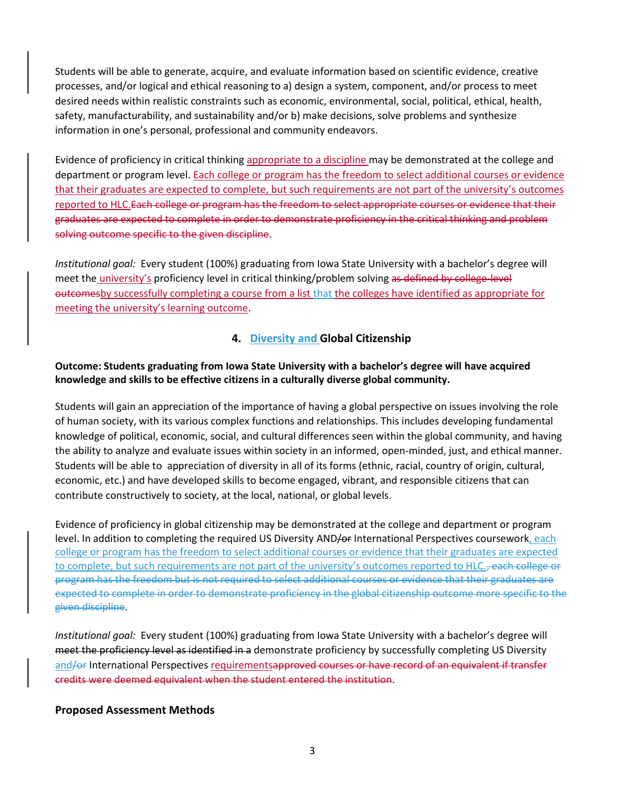Students will be able to generate, acquire, and evaluate information based on scientific evidence, creative processes, and/or logical and ethical reasoning to a) design a system, component, and/or process to meet desired needs within realistic constraints such as economic, environmental, social, political, ethical, health, safety, manufacturability, and sustainability and/or b) make decisions, solve problems and synthesize information in one's personal, professional and community endeavors.

Evidence of proficiency in critical thinking appropriate to a discipline may be demonstrated at the college and department or program level. Each college or program has the freedom to select additional courses or evidence that their graduates are expected to complete, but such requirements are not part of the university's outcomes reported to HLC.Each college or program has the freedom to select appropriate courses or evidence that their graduates are expected to complete in order to demonstrate proficiency in the critical thinking and problem solving outcome specific to the given discipline.

*Institutional goal:* Every student (100%) graduating from Iowa State University with a bachelor's degree will meet the *university's* proficiency level in critical thinking/problem solving as defined by college-level outcomesby successfully completing a course from a list that the colleges have identified as appropriate for meeting the university's learning outcome.

#### **4. Diversity and Global Citizenship**

#### **Outcome: Students graduating from Iowa State University with a bachelor's degree will have acquired knowledge and skills to be effective citizens in a culturally diverse global community.**

Students will gain an appreciation of the importance of having a global perspective on issues involving the role of human society, with its various complex functions and relationships. This includes developing fundamental knowledge of political, economic, social, and cultural differences seen within the global community, and having the ability to analyze and evaluate issues within society in an informed, open-minded, just, and ethical manner. Students will be able to appreciation of diversity in all of its forms (ethnic, racial, country of origin, cultural, economic, etc.) and have developed skills to become engaged, vibrant, and responsible citizens that can contribute constructively to society, at the local, national, or global levels.

Evidence of proficiency in global citizenship may be demonstrated at the college and department or program level. In addition to completing the required US Diversity AND/or International Perspectives coursework, each college or program has the freedom to select additional courses or evidence that their graduates are expected to complete, but such requirements are not part of the university's outcomes reported to HLC., each college or program has the freedom but is not required to select additional courses or evidence that their graduates are expected to complete in order to demonstrate proficiency in the global citizenship outcome more specific to the given discipline.

*Institutional goal:* Every student (100%) graduating from Iowa State University with a bachelor's degree will meet the proficiency level as identified in a demonstrate proficiency by successfully completing US Diversity and/or International Perspectives requirementsapproved courses or have record of an equivalent if transfer credits were deemed equivalent when the student entered the institution.

#### **Proposed Assessment Methods**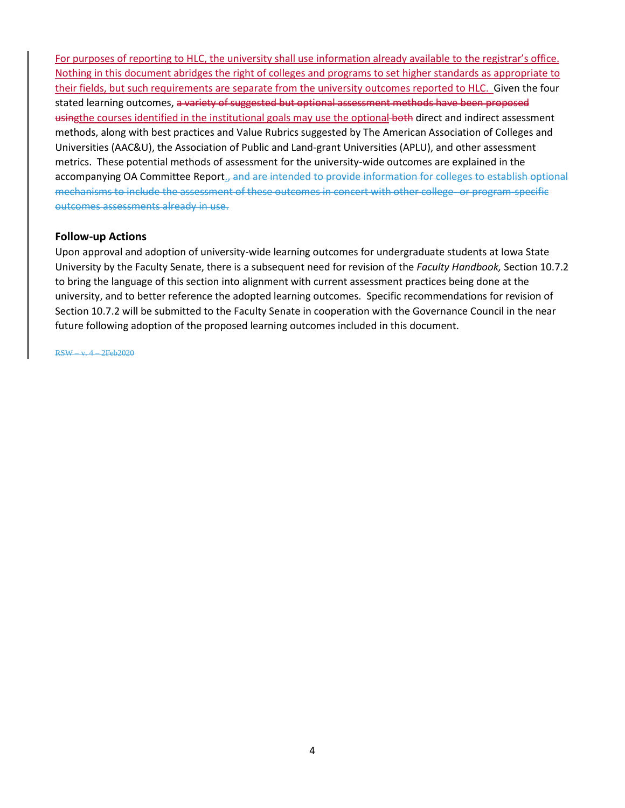For purposes of reporting to HLC, the university shall use information already available to the registrar's office. Nothing in this document abridges the right of colleges and programs to set higher standards as appropriate to their fields, but such requirements are separate from the university outcomes reported to HLC. Given the four stated learning outcomes, a variety of suggested but optional assessment methods have been proposed usingthe courses identified in the institutional goals may use the optional both direct and indirect assessment methods, along with best practices and Value Rubrics suggested by The American Association of Colleges and Universities (AAC&U), the Association of Public and Land-grant Universities (APLU), and other assessment metrics. These potential methods of assessment for the university-wide outcomes are explained in the accompanying OA Committee Report., and are intended to provide information for colleges to establish optional mechanisms to include the assessment of these outcomes in concert with other college- or program-specific outcomes assessments already in use.

#### **Follow-up Actions**

Upon approval and adoption of university-wide learning outcomes for undergraduate students at Iowa State University by the Faculty Senate, there is a subsequent need for revision of the *Faculty Handbook,* Section 10.7.2 to bring the language of this section into alignment with current assessment practices being done at the university, and to better reference the adopted learning outcomes. Specific recommendations for revision of Section 10.7.2 will be submitted to the Faculty Senate in cooperation with the Governance Council in the near future following adoption of the proposed learning outcomes included in this document.

RSW – v. 4 – 2Feb2020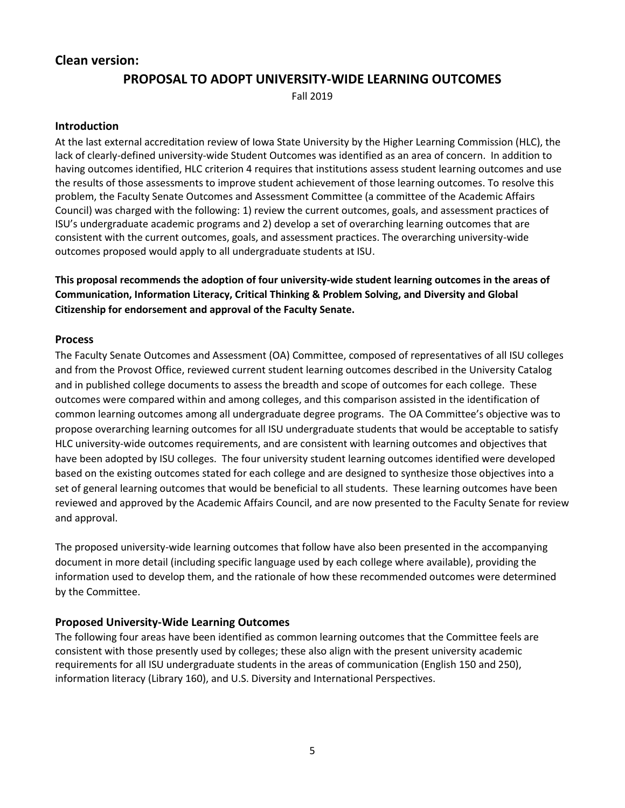## **Clean version:**

## **PROPOSAL TO ADOPT UNIVERSITY-WIDE LEARNING OUTCOMES**

Fall 2019

#### **Introduction**

At the last external accreditation review of Iowa State University by the Higher Learning Commission (HLC), the lack of clearly-defined university-wide Student Outcomes was identified as an area of concern. In addition to having outcomes identified, HLC criterion 4 requires that institutions assess student learning outcomes and use the results of those assessments to improve student achievement of those learning outcomes. To resolve this problem, the Faculty Senate Outcomes and Assessment Committee (a committee of the Academic Affairs Council) was charged with the following: 1) review the current outcomes, goals, and assessment practices of ISU's undergraduate academic programs and 2) develop a set of overarching learning outcomes that are consistent with the current outcomes, goals, and assessment practices. The overarching university-wide outcomes proposed would apply to all undergraduate students at ISU.

**This proposal recommends the adoption of four university-wide student learning outcomes in the areas of Communication, Information Literacy, Critical Thinking & Problem Solving, and Diversity and Global Citizenship for endorsement and approval of the Faculty Senate.** 

#### **Process**

The Faculty Senate Outcomes and Assessment (OA) Committee, composed of representatives of all ISU colleges and from the Provost Office, reviewed current student learning outcomes described in the University Catalog and in published college documents to assess the breadth and scope of outcomes for each college. These outcomes were compared within and among colleges, and this comparison assisted in the identification of common learning outcomes among all undergraduate degree programs. The OA Committee's objective was to propose overarching learning outcomes for all ISU undergraduate students that would be acceptable to satisfy HLC university-wide outcomes requirements, and are consistent with learning outcomes and objectives that have been adopted by ISU colleges. The four university student learning outcomes identified were developed based on the existing outcomes stated for each college and are designed to synthesize those objectives into a set of general learning outcomes that would be beneficial to all students. These learning outcomes have been reviewed and approved by the Academic Affairs Council, and are now presented to the Faculty Senate for review and approval.

The proposed university-wide learning outcomes that follow have also been presented in the accompanying document in more detail (including specific language used by each college where available), providing the information used to develop them, and the rationale of how these recommended outcomes were determined by the Committee.

#### **Proposed University-Wide Learning Outcomes**

The following four areas have been identified as common learning outcomes that the Committee feels are consistent with those presently used by colleges; these also align with the present university academic requirements for all ISU undergraduate students in the areas of communication (English 150 and 250), information literacy (Library 160), and U.S. Diversity and International Perspectives.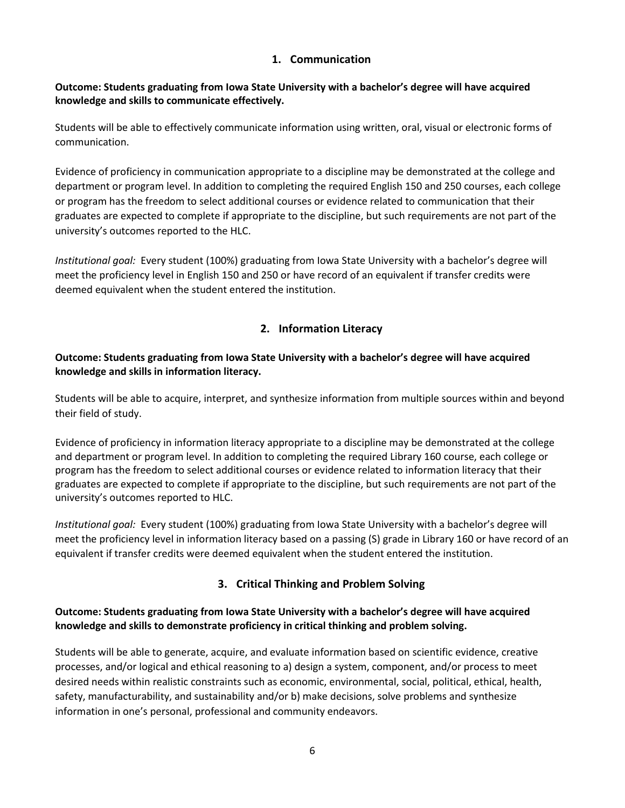## **1. Communication**

## **Outcome: Students graduating from Iowa State University with a bachelor's degree will have acquired knowledge and skills to communicate effectively.**

Students will be able to effectively communicate information using written, oral, visual or electronic forms of communication.

Evidence of proficiency in communication appropriate to a discipline may be demonstrated at the college and department or program level. In addition to completing the required English 150 and 250 courses, each college or program has the freedom to select additional courses or evidence related to communication that their graduates are expected to complete if appropriate to the discipline, but such requirements are not part of the university's outcomes reported to the HLC.

*Institutional goal:* Every student (100%) graduating from Iowa State University with a bachelor's degree will meet the proficiency level in English 150 and 250 or have record of an equivalent if transfer credits were deemed equivalent when the student entered the institution.

## **2. Information Literacy**

## **Outcome: Students graduating from Iowa State University with a bachelor's degree will have acquired knowledge and skills in information literacy.**

Students will be able to acquire, interpret, and synthesize information from multiple sources within and beyond their field of study.

Evidence of proficiency in information literacy appropriate to a discipline may be demonstrated at the college and department or program level. In addition to completing the required Library 160 course, each college or program has the freedom to select additional courses or evidence related to information literacy that their graduates are expected to complete if appropriate to the discipline, but such requirements are not part of the university's outcomes reported to HLC.

*Institutional goal:* Every student (100%) graduating from Iowa State University with a bachelor's degree will meet the proficiency level in information literacy based on a passing (S) grade in Library 160 or have record of an equivalent if transfer credits were deemed equivalent when the student entered the institution.

## **3. Critical Thinking and Problem Solving**

## **Outcome: Students graduating from Iowa State University with a bachelor's degree will have acquired knowledge and skills to demonstrate proficiency in critical thinking and problem solving.**

Students will be able to generate, acquire, and evaluate information based on scientific evidence, creative processes, and/or logical and ethical reasoning to a) design a system, component, and/or process to meet desired needs within realistic constraints such as economic, environmental, social, political, ethical, health, safety, manufacturability, and sustainability and/or b) make decisions, solve problems and synthesize information in one's personal, professional and community endeavors.